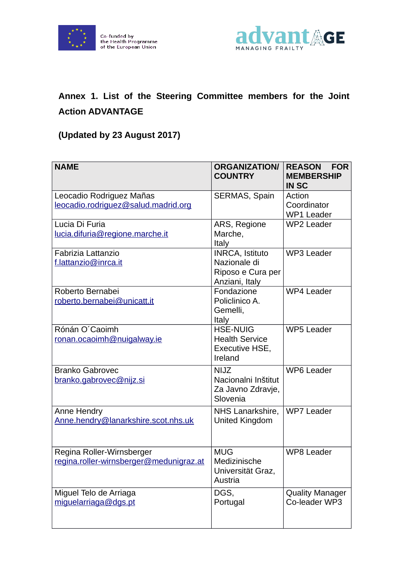



## **Annex 1. List of the Steering Committee members for the Joint Action ADVANTAGE**

## **(Updated by 23 August 2017)**

| <b>NAME</b>                                                          | <b>ORGANIZATION/</b><br><b>COUNTRY</b>                                        | <b>REASON</b><br><b>FOR</b><br><b>MEMBERSHIP</b><br><b>IN SC</b> |
|----------------------------------------------------------------------|-------------------------------------------------------------------------------|------------------------------------------------------------------|
| Leocadio Rodriguez Mañas<br>leocadio.rodriguez@salud.madrid.org      | SERMAS, Spain                                                                 | Action<br>Coordinator<br><b>WP1 Leader</b>                       |
| Lucia Di Furia<br>lucia.difuria@regione.marche.it                    | ARS, Regione<br>Marche,<br>Italy                                              | <b>WP2 Leader</b>                                                |
| Fabrizia Lattanzio<br>f.lattanzio@inrca.it                           | <b>INRCA, Istituto</b><br>Nazionale di<br>Riposo e Cura per<br>Anziani, Italy | WP3 Leader                                                       |
| Roberto Bernabei<br>roberto.bernabei@unicatt.it                      | Fondazione<br>Policlinico A.<br>Gemelli,<br>Italy                             | WP4 Leader                                                       |
| Rónán O'Caoimh<br>ronan.ocaoimh@nuigalway.ie                         | <b>HSE-NUIG</b><br><b>Health Service</b><br>Executive HSE,<br>Ireland         | <b>WP5 Leader</b>                                                |
| <b>Branko Gabrovec</b><br><u>branko.qabrovec@nijz.si</u>             | <b>NIJZ</b><br>Nacionalni Inštitut<br>Za Javno Zdravje,<br>Slovenia           | <b>WP6 Leader</b>                                                |
| Anne Hendry<br>Anne.hendry@lanarkshire.scot.nhs.uk                   | NHS Lanarkshire,<br>United Kingdom                                            | WP7 Leader                                                       |
| Regina Roller-Wirnsberger<br>regina.roller-wirnsberger@medunigraz.at | <b>MUG</b><br>Medizinische<br>Universität Graz,<br>Austria                    | <b>WP8 Leader</b>                                                |
| Miguel Telo de Arriaga<br>miguelarriaga@dgs.pt                       | DGS,<br>Portugal                                                              | <b>Quality Manager</b><br>Co-leader WP3                          |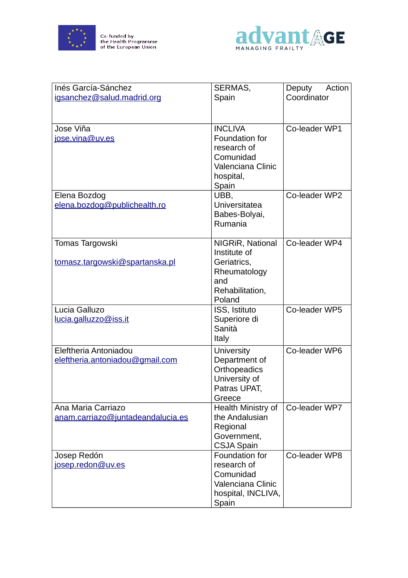

Co-funded by<br>the Health Programme<br>of the European Union



| Inés García-Sánchez<br>igsanchez@salud.madrid.org        | SERMAS,<br>Spain                                                                                        | Deputy<br>Action<br>Coordinator |
|----------------------------------------------------------|---------------------------------------------------------------------------------------------------------|---------------------------------|
|                                                          |                                                                                                         |                                 |
| Jose Viña<br>jose.vina@uv.es                             | <b>INCLIVA</b><br>Foundation for<br>research of<br>Comunidad<br>Valenciana Clinic<br>hospital,<br>Spain | Co-leader WP1                   |
| Elena Bozdog<br>elena.bozdog@publichealth.ro             | UBB,<br>Universitatea<br>Babes-Bolyai,<br>Rumania                                                       | Co-leader WP2                   |
| Tomas Targowski<br>tomasz.targowski@spartanska.pl        | NIGRIR, National<br>Institute of<br>Geriatrics,<br>Rheumatology<br>and<br>Rehabilitation,<br>Poland     | Co-leader WP4                   |
| Lucia Galluzo<br>lucia.galluzzo@iss.it                   | ISS, Istituto<br>Superiore di<br>Sanità<br>Italy                                                        | Co-leader WP5                   |
| Eleftheria Antoniadou<br>eleftheria.antoniadou@gmail.com | <b>University</b><br>Department of<br>Orthopeadics<br>University of<br>Patras UPAT,<br>Greece           | Co-leader WP6                   |
| Ana Maria Carriazo<br>anam.carriazo@juntadeandalucia.es  | Health Ministry of<br>the Andalusian<br>Regional<br>Government,<br><b>CSJA Spain</b>                    | Co-leader WP7                   |
| Josep Redón<br>josep.redon@uv.es                         | Foundation for<br>research of<br>Comunidad<br>Valenciana Clinic<br>hospital, INCLIVA,<br>Spain          | Co-leader WP8                   |